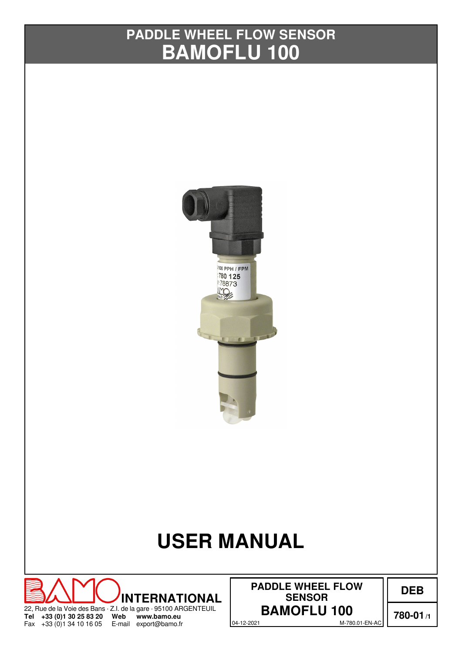# **BAMOFLU 100 PADDLE WHEEL FLOW SENSOR**



# **USER MANUAL**



04-12-2021 M-780.01-EN-AC **PADDLE WHEEL FLOW SENSOR**

**DEB**

**780-01/1**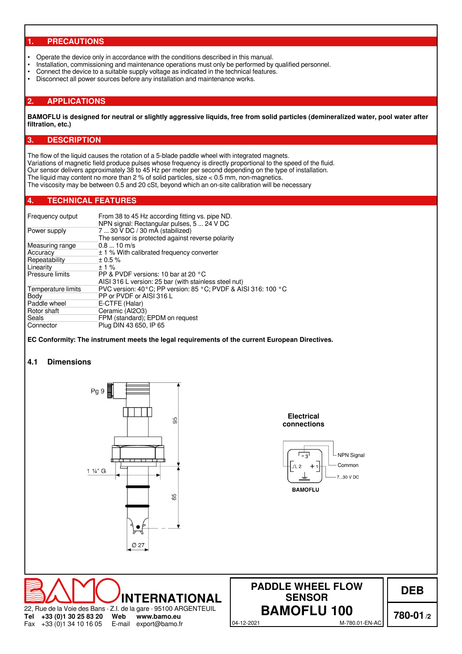#### **1. PRECAUTIONS**

- Operate the device only in accordance with the conditions described in this manual.<br>• Installation, commissioning and maintenance operations must only be performed by
- Installation, commissioning and maintenance operations must only be performed by qualified personnel.
- Connect the device to a suitable supply voltage as indicated in the technical features.<br>• Disconnect all nower sources before any installation and maintenance works
- Disconnect all power sources before any installation and maintenance works.

#### **2. APPLICATIONS**

**BAMOFLU is designed for neutral or slightly aggressive liquids, free from solid particles (demineralized water, pool water after filtration, etc.)**

#### **3. DESCRIPTION**

The flow of the liquid causes the rotation of a 5-blade paddle wheel with integrated magnets.

Variations of magnetic field produce pulses whose frequency is directly proportional to the speed of the fluid.

Our sensor delivers approximately 38 to 45 Hz per meter per second depending on the type of installation.

The liquid may content no more than 2 % of solid particles, size < 0.5 mm, non-magnetics.

The viscosity may be between 0.5 and 20 cSt, beyond which an on-site calibration will be necessary

#### **4. TECHNICAL FEATURES**

| From 38 to 45 Hz according fitting vs. pipe ND.<br>NPN signal: Rectangular pulses, 5  24 V DC |
|-----------------------------------------------------------------------------------------------|
| 7  30 V DC / 30 mA (stabilized)                                                               |
| The sensor is protected against reverse polarity                                              |
| $0.810$ m/s                                                                                   |
| $\pm$ 1 % With calibrated frequency converter                                                 |
| $\pm 0.5 \%$                                                                                  |
| $+1\%$                                                                                        |
| PP & PVDF versions: 10 bar at 20 °C                                                           |
| AISI 316 L version: 25 bar (with stainless steel nut)                                         |
| PVC version: 40°C: PP version: 85 °C: PVDF & AISI 316: 100 °C                                 |
| PP or PVDF or AISI 316 L                                                                      |
| E-CTFE (Halar)                                                                                |
| Ceramic (Al2O3)                                                                               |
| FPM (standard); EPDM on request                                                               |
| Plug DIN 43 650, IP 65                                                                        |
|                                                                                               |

**EC Conformity: The instrument meets the legal requirements of the current European Directives.**

#### **4.1 Dimensions**

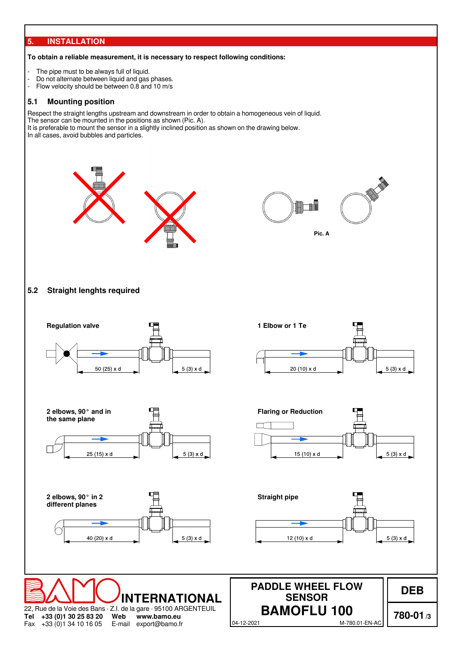#### **5. INSTALLATION**

#### **To obtain a reliable measurement, it is necessary to respect following conditions:**

- The pipe must to be always full of liquid.
- Do not alternate between liquid and gas phases.
- Flow velocity should be between 0.8 and 10 m/s

#### **5.1 Mounting position**

Respect the straight lengths upstream and downstream in order to obtain a homogeneous vein of liquid.

The sensor can be mounted in the positions as shown (Pic. A). It is preferable to mount the sensor in a slightly inclined position as shown on the drawing below.

In all cases, avoid bubbles and particles.





#### **5.2 Straight lenghts required**